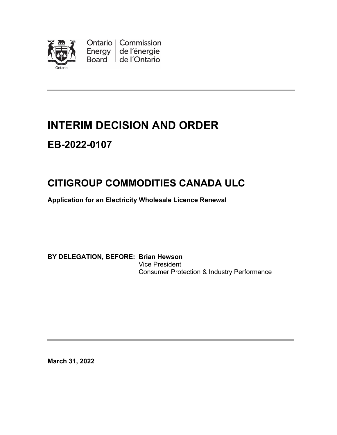

Ontario | Commission<br>Energy | de l'énergie Board de l'Ontario

## **INTERIM DECISION AND ORDER**

### **EB-2022-0107**

# **CITIGROUP COMMODITIES CANADA ULC**

**Application for an Electricity Wholesale Licence Renewal** 

**BY DELEGATION, BEFORE: Brian Hewson** Vice President Consumer Protection & Industry Performance

**March 31, 2022**